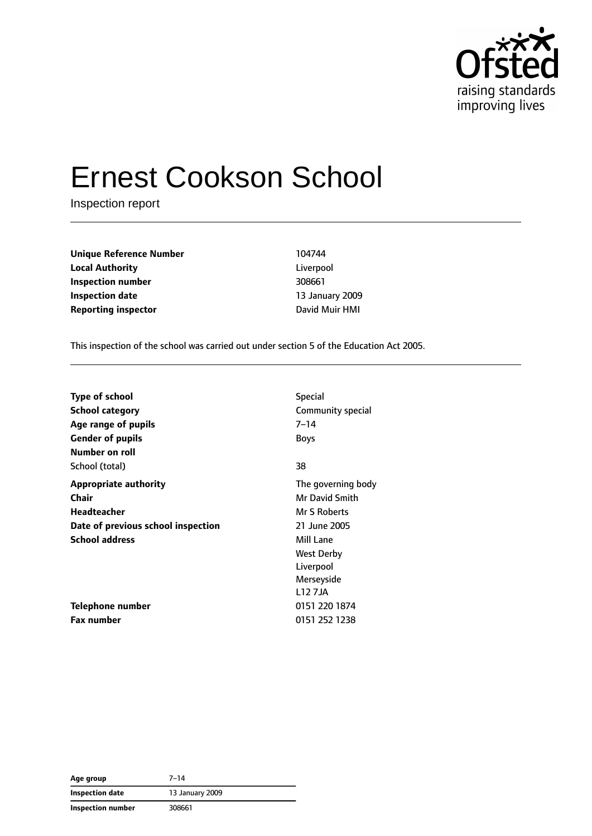

# Ernest Cookson School

Inspection report

**Unique Reference Number** 104744 **Local Authority** Liverpool **Inspection number** 308661 **Inspection date** 13 January 2009 **Reporting inspector CONFIDENTIAL CONFIDENTIAL DAVID MUIT HMI** 

This inspection of the school was carried out under section 5 of the Education Act 2005.

| <b>Type of school</b>              | <b>Special</b>        |
|------------------------------------|-----------------------|
| <b>School category</b>             | Community special     |
| Age range of pupils                | $7 - 14$              |
| <b>Gender of pupils</b>            | <b>Boys</b>           |
| Number on roll                     |                       |
| School (total)                     | 38                    |
| <b>Appropriate authority</b>       | The governing body    |
| Chair                              | <b>Mr David Smith</b> |
| Headteacher                        | Mr S Roberts          |
| Date of previous school inspection | 21 June 2005          |
| <b>School address</b>              | Mill Lane             |
|                                    | <b>West Derby</b>     |
|                                    | Liverpool             |
|                                    | Merseyside            |
|                                    | L12 7JA               |
| Telephone number                   | 0151 220 1874         |
| <b>Fax number</b>                  | 0151 252 1238         |

**Age group** 7–14 **Inspection date** 13 January 2009 **Inspection number** 308661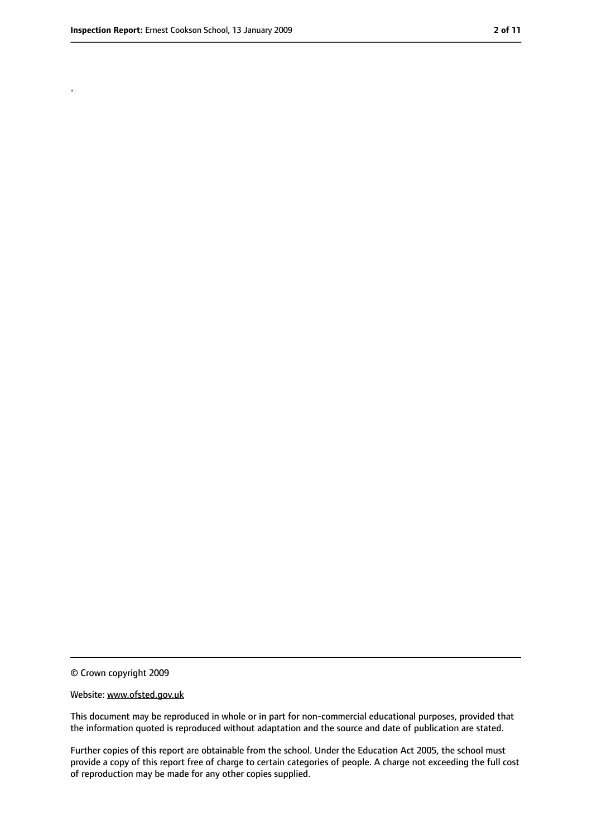.

<sup>©</sup> Crown copyright 2009

Website: www.ofsted.gov.uk

This document may be reproduced in whole or in part for non-commercial educational purposes, provided that the information quoted is reproduced without adaptation and the source and date of publication are stated.

Further copies of this report are obtainable from the school. Under the Education Act 2005, the school must provide a copy of this report free of charge to certain categories of people. A charge not exceeding the full cost of reproduction may be made for any other copies supplied.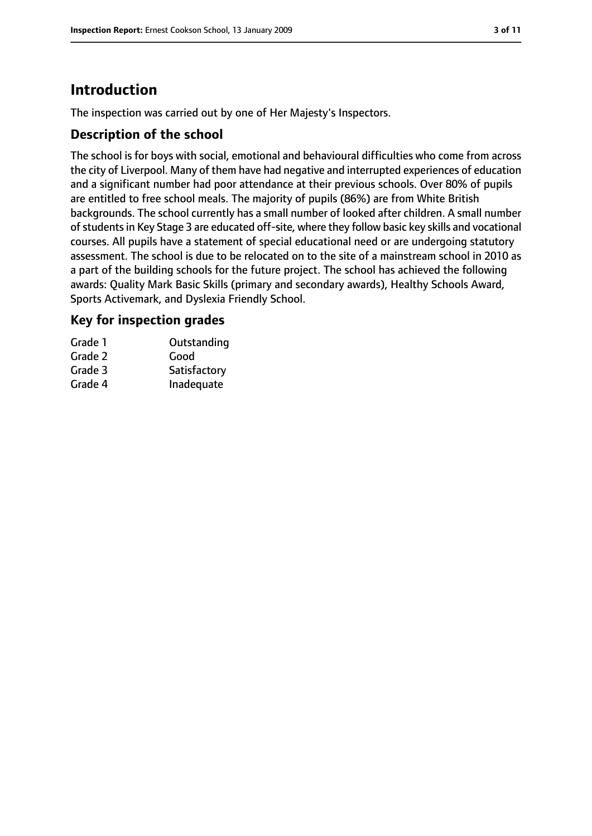# **Introduction**

The inspection was carried out by one of Her Majesty's Inspectors.

## **Description of the school**

The school is for boys with social, emotional and behavioural difficulties who come from across the city of Liverpool. Many of them have had negative and interrupted experiences of education and a significant number had poor attendance at their previous schools. Over 80% of pupils are entitled to free school meals. The majority of pupils (86%) are from White British backgrounds. The school currently has a small number of looked after children. A small number of students in Key Stage 3 are educated off-site, where they follow basic key skills and vocational courses. All pupils have a statement of special educational need or are undergoing statutory assessment. The school is due to be relocated on to the site of a mainstream school in 2010 as a part of the building schools for the future project. The school has achieved the following awards: Quality Mark Basic Skills (primary and secondary awards), Healthy Schools Award, Sports Activemark, and Dyslexia Friendly School.

## **Key for inspection grades**

| Grade 1 | Outstanding  |
|---------|--------------|
| Grade 2 | Good         |
| Grade 3 | Satisfactory |
| Grade 4 | Inadequate   |
|         |              |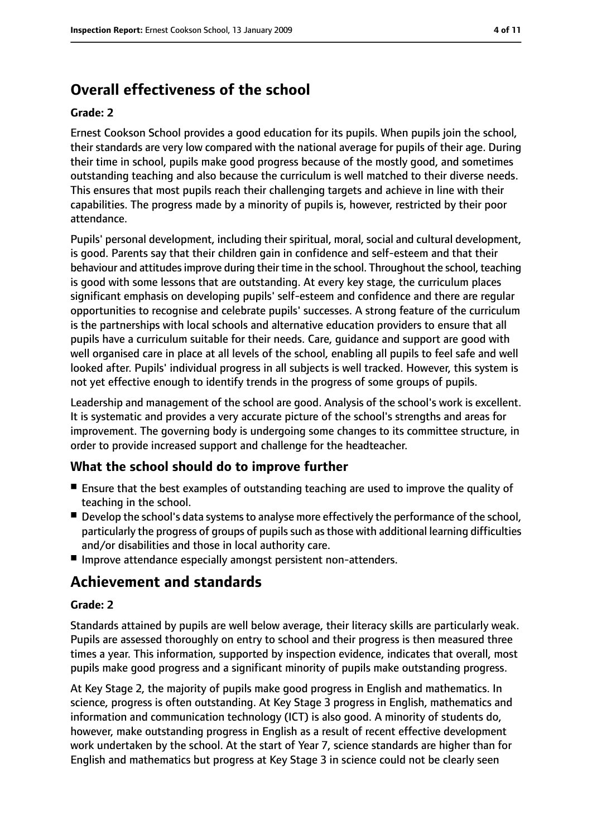# **Overall effectiveness of the school**

#### **Grade: 2**

Ernest Cookson School provides a good education for its pupils. When pupils join the school, their standards are very low compared with the national average for pupils of their age. During their time in school, pupils make good progress because of the mostly good, and sometimes outstanding teaching and also because the curriculum is well matched to their diverse needs. This ensures that most pupils reach their challenging targets and achieve in line with their capabilities. The progress made by a minority of pupils is, however, restricted by their poor attendance.

Pupils' personal development, including their spiritual, moral, social and cultural development, is good. Parents say that their children gain in confidence and self-esteem and that their behaviour and attitudes improve during their time in the school. Throughout the school, teaching is good with some lessons that are outstanding. At every key stage, the curriculum places significant emphasis on developing pupils' self-esteem and confidence and there are regular opportunities to recognise and celebrate pupils' successes. A strong feature of the curriculum is the partnerships with local schools and alternative education providers to ensure that all pupils have a curriculum suitable for their needs. Care, guidance and support are good with well organised care in place at all levels of the school, enabling all pupils to feel safe and well looked after. Pupils' individual progress in all subjects is well tracked. However, this system is not yet effective enough to identify trends in the progress of some groups of pupils.

Leadership and management of the school are good. Analysis of the school's work is excellent. It is systematic and provides a very accurate picture of the school's strengths and areas for improvement. The governing body is undergoing some changes to its committee structure, in order to provide increased support and challenge for the headteacher.

## **What the school should do to improve further**

- Ensure that the best examples of outstanding teaching are used to improve the quality of teaching in the school.
- Develop the school's data systems to analyse more effectively the performance of the school, particularly the progress of groups of pupils such as those with additional learning difficulties and/or disabilities and those in local authority care.
- Improve attendance especially amongst persistent non-attenders.

# **Achievement and standards**

#### **Grade: 2**

Standards attained by pupils are well below average, their literacy skills are particularly weak. Pupils are assessed thoroughly on entry to school and their progress is then measured three times a year. This information, supported by inspection evidence, indicates that overall, most pupils make good progress and a significant minority of pupils make outstanding progress.

At Key Stage 2, the majority of pupils make good progress in English and mathematics. In science, progress is often outstanding. At Key Stage 3 progress in English, mathematics and information and communication technology (ICT) is also good. A minority of students do, however, make outstanding progress in English as a result of recent effective development work undertaken by the school. At the start of Year 7, science standards are higher than for English and mathematics but progress at Key Stage 3 in science could not be clearly seen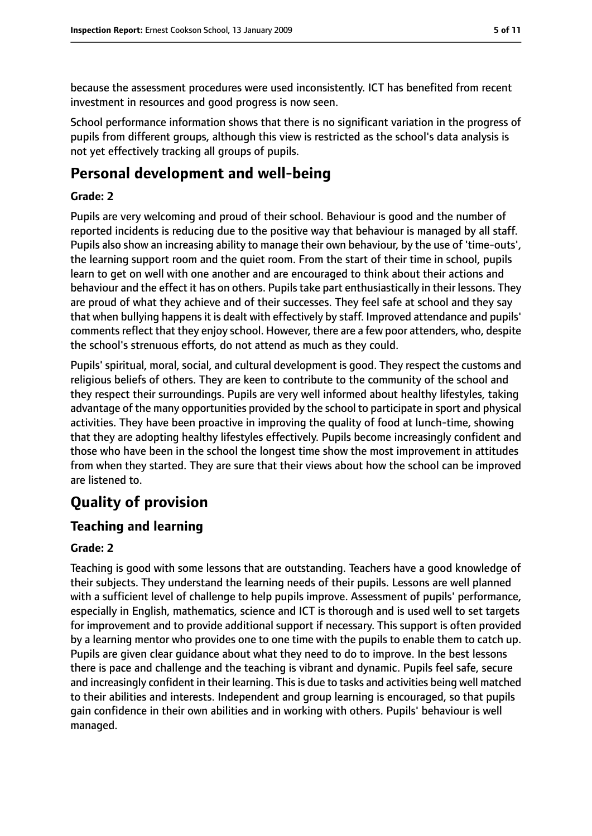because the assessment procedures were used inconsistently. ICT has benefited from recent investment in resources and good progress is now seen.

School performance information shows that there is no significant variation in the progress of pupils from different groups, although this view is restricted as the school's data analysis is not yet effectively tracking all groups of pupils.

# **Personal development and well-being**

#### **Grade: 2**

Pupils are very welcoming and proud of their school. Behaviour is good and the number of reported incidents is reducing due to the positive way that behaviour is managed by all staff. Pupils also show an increasing ability to manage their own behaviour, by the use of 'time-outs', the learning support room and the quiet room. From the start of their time in school, pupils learn to get on well with one another and are encouraged to think about their actions and behaviour and the effect it has on others. Pupilstake part enthusiastically in their lessons. They are proud of what they achieve and of their successes. They feel safe at school and they say that when bullying happens it is dealt with effectively by staff. Improved attendance and pupils' comments reflect that they enjoy school. However, there are a few poor attenders, who, despite the school's strenuous efforts, do not attend as much as they could.

Pupils' spiritual, moral, social, and cultural development is good. They respect the customs and religious beliefs of others. They are keen to contribute to the community of the school and they respect their surroundings. Pupils are very well informed about healthy lifestyles, taking advantage of the many opportunities provided by the school to participate in sport and physical activities. They have been proactive in improving the quality of food at lunch-time, showing that they are adopting healthy lifestyles effectively. Pupils become increasingly confident and those who have been in the school the longest time show the most improvement in attitudes from when they started. They are sure that their views about how the school can be improved are listened to.

# **Quality of provision**

## **Teaching and learning**

#### **Grade: 2**

Teaching is good with some lessons that are outstanding. Teachers have a good knowledge of their subjects. They understand the learning needs of their pupils. Lessons are well planned with a sufficient level of challenge to help pupils improve. Assessment of pupils' performance, especially in English, mathematics, science and ICT is thorough and is used well to set targets for improvement and to provide additional support if necessary. This support is often provided by a learning mentor who provides one to one time with the pupils to enable them to catch up. Pupils are given clear guidance about what they need to do to improve. In the best lessons there is pace and challenge and the teaching is vibrant and dynamic. Pupils feel safe, secure and increasingly confident in their learning. This is due to tasks and activities being well matched to their abilities and interests. Independent and group learning is encouraged, so that pupils gain confidence in their own abilities and in working with others. Pupils' behaviour is well managed.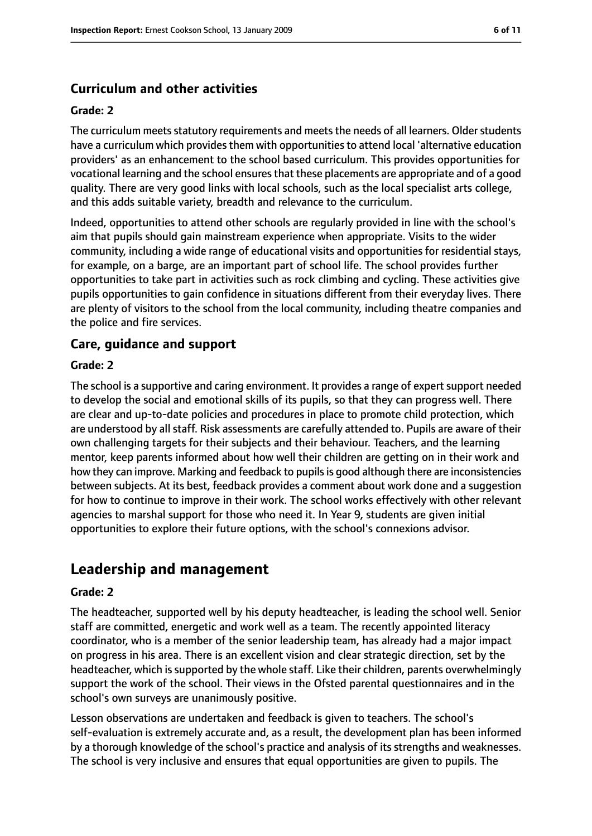# **Curriculum and other activities**

#### **Grade: 2**

The curriculum meets statutory requirements and meets the needs of all learners. Older students have a curriculum which provides them with opportunities to attend local 'alternative education providers' as an enhancement to the school based curriculum. This provides opportunities for vocational learning and the school ensuresthat these placements are appropriate and of a good quality. There are very good links with local schools, such as the local specialist arts college, and this adds suitable variety, breadth and relevance to the curriculum.

Indeed, opportunities to attend other schools are regularly provided in line with the school's aim that pupils should gain mainstream experience when appropriate. Visits to the wider community, including a wide range of educational visits and opportunities for residential stays, for example, on a barge, are an important part of school life. The school provides further opportunities to take part in activities such as rock climbing and cycling. These activities give pupils opportunities to gain confidence in situations different from their everyday lives. There are plenty of visitors to the school from the local community, including theatre companies and the police and fire services.

## **Care, guidance and support**

#### **Grade: 2**

The school is a supportive and caring environment. It provides a range of expert support needed to develop the social and emotional skills of its pupils, so that they can progress well. There are clear and up-to-date policies and procedures in place to promote child protection, which are understood by all staff. Risk assessments are carefully attended to. Pupils are aware of their own challenging targets for their subjects and their behaviour. Teachers, and the learning mentor, keep parents informed about how well their children are getting on in their work and how they can improve. Marking and feedback to pupils is good although there are inconsistencies between subjects. At its best, feedback provides a comment about work done and a suggestion for how to continue to improve in their work. The school works effectively with other relevant agencies to marshal support for those who need it. In Year 9, students are given initial opportunities to explore their future options, with the school's connexions advisor.

# **Leadership and management**

#### **Grade: 2**

The headteacher, supported well by his deputy headteacher, is leading the school well. Senior staff are committed, energetic and work well as a team. The recently appointed literacy coordinator, who is a member of the senior leadership team, has already had a major impact on progress in his area. There is an excellent vision and clear strategic direction, set by the headteacher, which is supported by the whole staff. Like their children, parents overwhelmingly support the work of the school. Their views in the Ofsted parental questionnaires and in the school's own surveys are unanimously positive.

Lesson observations are undertaken and feedback is given to teachers. The school's self-evaluation is extremely accurate and, as a result, the development plan has been informed by a thorough knowledge of the school's practice and analysis of its strengths and weaknesses. The school is very inclusive and ensures that equal opportunities are given to pupils. The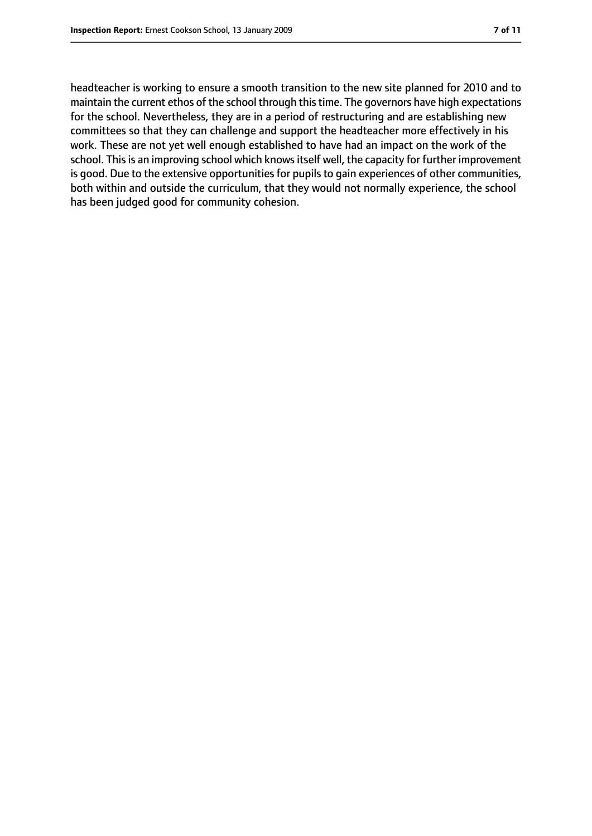headteacher is working to ensure a smooth transition to the new site planned for 2010 and to maintain the current ethos of the school through this time. The governors have high expectations for the school. Nevertheless, they are in a period of restructuring and are establishing new committees so that they can challenge and support the headteacher more effectively in his work. These are not yet well enough established to have had an impact on the work of the school. This is an improving school which knows itself well, the capacity for further improvement is good. Due to the extensive opportunities for pupils to gain experiences of other communities, both within and outside the curriculum, that they would not normally experience, the school has been judged good for community cohesion.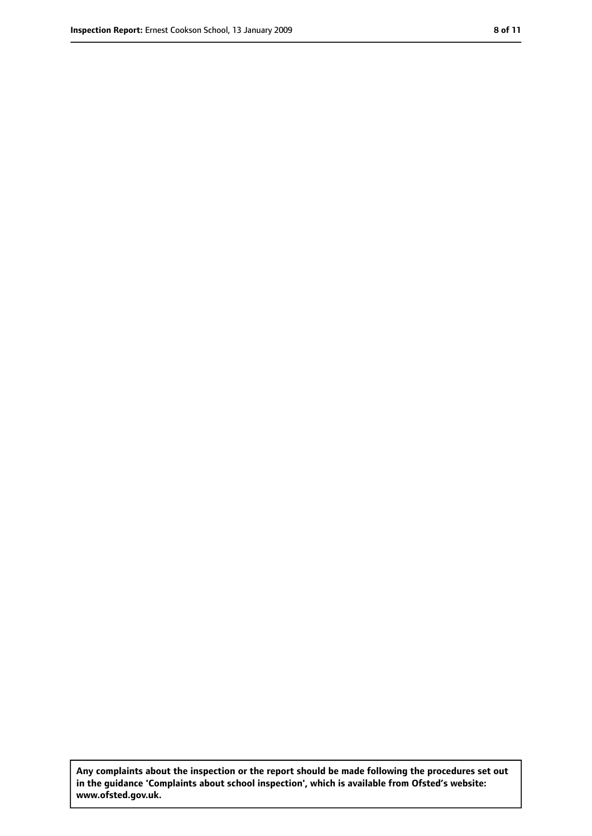**Any complaints about the inspection or the report should be made following the procedures set out in the guidance 'Complaints about school inspection', which is available from Ofsted's website: www.ofsted.gov.uk.**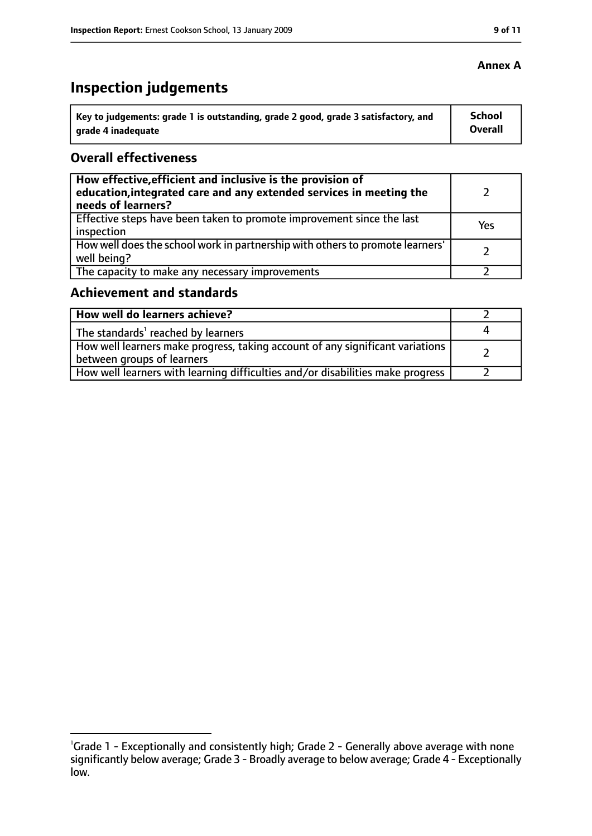# **Inspection judgements**

| key to judgements: grade 1 is outstanding, grade 2 good, grade 3 satisfactory, and ا | <b>School</b> |
|--------------------------------------------------------------------------------------|---------------|
| arade 4 inadeguate                                                                   | Overall       |

## **Overall effectiveness**

| How effective, efficient and inclusive is the provision of<br>education, integrated care and any extended services in meeting the<br>needs of learners? |     |
|---------------------------------------------------------------------------------------------------------------------------------------------------------|-----|
| Effective steps have been taken to promote improvement since the last<br>inspection                                                                     | Yes |
| How well does the school work in partnership with others to promote learners'<br>well being?                                                            |     |
| The capacity to make any necessary improvements                                                                                                         |     |

# **Achievement and standards**

| How well do learners achieve?                                                                                 |  |
|---------------------------------------------------------------------------------------------------------------|--|
| The standards <sup>1</sup> reached by learners                                                                |  |
| How well learners make progress, taking account of any significant variations  <br>between groups of learners |  |
| How well learners with learning difficulties and/or disabilities make progress                                |  |

## **Annex A**

<sup>&</sup>lt;sup>1</sup>Grade 1 - Exceptionally and consistently high; Grade 2 - Generally above average with none significantly below average; Grade 3 - Broadly average to below average; Grade 4 - Exceptionally low.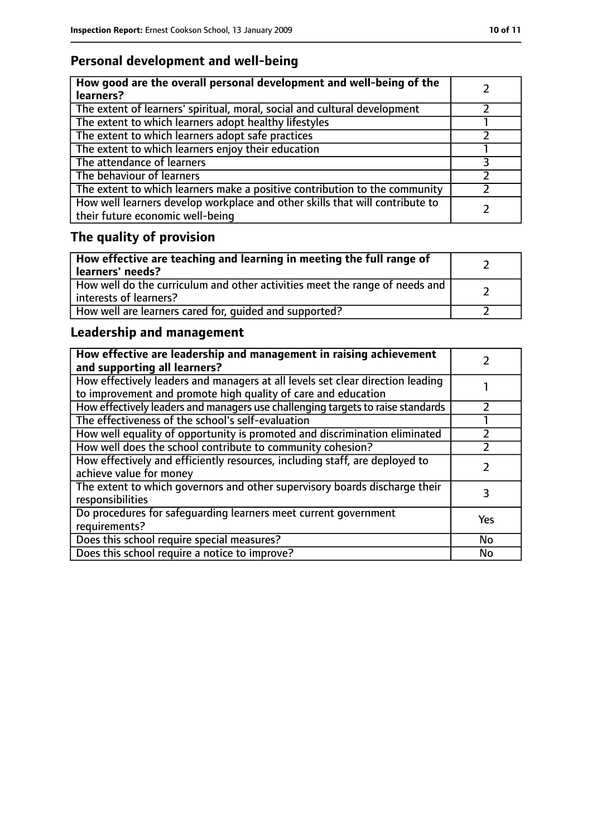# **Personal development and well-being**

| How good are the overall personal development and well-being of the<br>learners?                                 |  |
|------------------------------------------------------------------------------------------------------------------|--|
| The extent of learners' spiritual, moral, social and cultural development                                        |  |
| The extent to which learners adopt healthy lifestyles                                                            |  |
| The extent to which learners adopt safe practices                                                                |  |
| The extent to which learners enjoy their education                                                               |  |
| The attendance of learners                                                                                       |  |
| The behaviour of learners                                                                                        |  |
| The extent to which learners make a positive contribution to the community                                       |  |
| How well learners develop workplace and other skills that will contribute to<br>their future economic well-being |  |

# **The quality of provision**

| How effective are teaching and learning in meeting the full range of<br>learners' needs?              |  |
|-------------------------------------------------------------------------------------------------------|--|
| How well do the curriculum and other activities meet the range of needs and<br>interests of learners? |  |
| How well are learners cared for, quided and supported?                                                |  |

# **Leadership and management**

| How effective are leadership and management in raising achievement<br>and supporting all learners?                                              |     |
|-------------------------------------------------------------------------------------------------------------------------------------------------|-----|
| How effectively leaders and managers at all levels set clear direction leading<br>to improvement and promote high quality of care and education |     |
| How effectively leaders and managers use challenging targets to raise standards                                                                 |     |
| The effectiveness of the school's self-evaluation                                                                                               |     |
| How well equality of opportunity is promoted and discrimination eliminated                                                                      |     |
| How well does the school contribute to community cohesion?                                                                                      |     |
| How effectively and efficiently resources, including staff, are deployed to<br>achieve value for money                                          |     |
| The extent to which governors and other supervisory boards discharge their<br>responsibilities                                                  | 3   |
| Do procedures for safequarding learners meet current government<br>requirements?                                                                | Yes |
| Does this school require special measures?                                                                                                      | No  |
| Does this school require a notice to improve?                                                                                                   | No  |